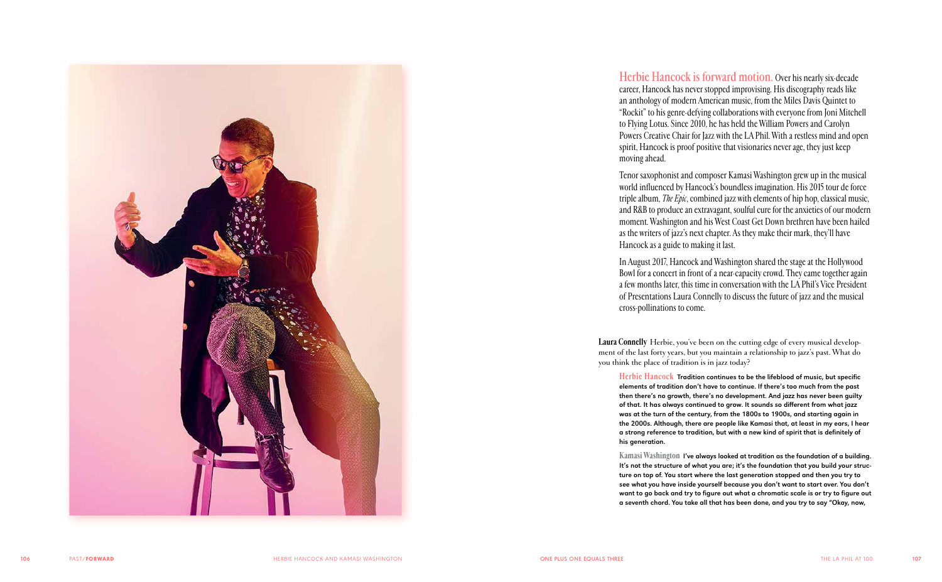

**Herbie Hancock is forward motion.** Over his nearly six-decade career, Hancock has never stopped improvising. His discography reads like an anthology of modern American music, from the Miles Davis Quintet to "Rockit" to his genre-defying collaborations with everyone from Joni Mitchell to Flying Lotus. Since 2010, he has held the William Powers and Carolyn Powers Creative Chair for Jazz with the LA Phil. With a restless mind and open spirit, Hancock is proof positive that visionaries never age, they just keep moving ahead.

Tenor saxophonist and composer Kamasi Washington grew up in the musical world influenced by Hancock's boundless imagination. His 2015 tour de force triple album, *The Epic*, combined jazz with elements of hip hop, classical music, and R&B to produce an extravagant, soulful cure for the anxieties of our modern moment. Washington and his West Coast Get Down brethren have been hailed as the writers of jazz's next chapter. As they make their mark, they'll have Hancock as a guide to making it last.

In August 2017, Hancock and Washington shared the stage at the Hollywood Bowl for a concert in front of a near-capacity crowd. They came together again a few months later, this time in conversation with the LA Phil's Vice President of Presentations Laura Connelly to discuss the future of jazz and the musical cross-pollinations to come.

**Laura Connelly** Herbie, you've been on the cutting edge of every musical develop ment of the last forty years, but you maintain a relationship to jazz's past. What do you think the place of tradition is in jazz today?

**Herbie Hancock** Tradition continues to be the lifeblood of music, but specific elements of tradition don't have to continue. If there's too much from the past then there's no growth, there's no development. And jazz has never been guilty of that. It has always continued to grow. It sounds so different from what jazz was at the turn of the century, from the 1800s to 1900s, and starting again in the 2000s. Although, there are people like Kamasi that, at least in my ears, I hear a strong reference to tradition, but with a new kind of spirit that is definitely of his generation.

**Kamasi Washington** I've always looked at tradition as the foundation of a building. It's not the structure of what you are; it's the foundation that you build your struc ture on top of. You start where the last generation stopped and then you try to see what you have inside yourself because you don't want to start over. You don't want to go back and try to figure out what a chromatic scale is or try to figure out a seventh chord. You take all that has been done, and you try to say "Okay, now,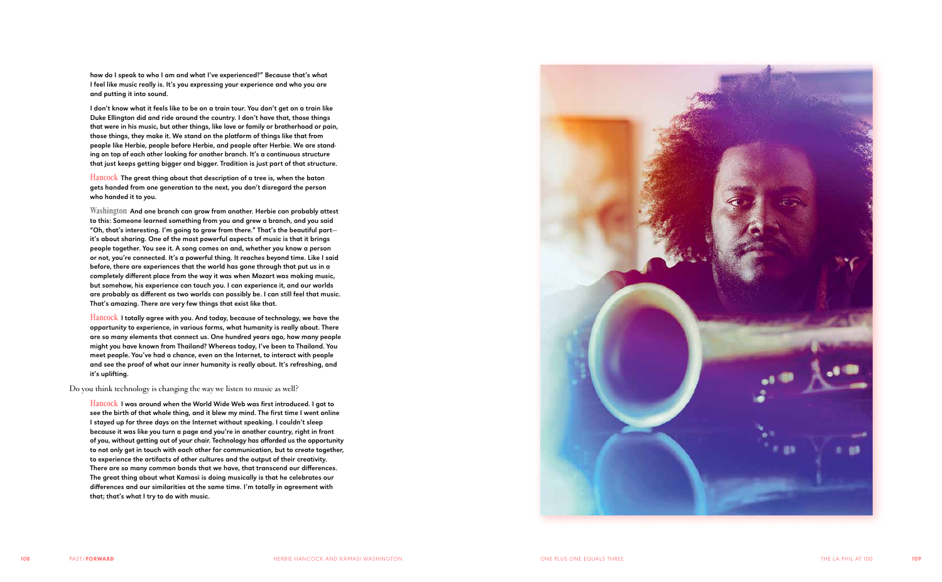how do I speak to who I am and what I've experienced?" Because that's what I feel like music really is. It's you expressing your experience and who you are and putting it into sound.

I don't know what it feels like to be on a train tour. You don't get on a train like Duke Ellington did and ride around the country. I don't have that, those things that were in his music, but other things, like love or family or brotherhood or pain, those things, they make it. We stand on the platform of things like that from people like Herbie, people before Herbie, and people after Herbie. We are stand ing on top of each other looking for another branch. It's a continuous structure that just keeps getting bigger and bigger. Tradition is just part of that structure.

**Hancock** The great thing about that description of a tree is, when the baton gets handed from one generation to the next, you don't disregard the person who handed it to you.

**Washington** And one branch can grow from another. Herbie can probably attest to this: Someone learned something from you and grew a branch, and you said "Oh, that's interesting. I'm going to grow from there." That's the beautiful part it's about sharing. One of the most powerful aspects of music is that it brings people together. You see it. A song comes on and, whether you know a person or not, you're connected. It's a powerful thing. It reaches beyond time. Like I said before, there are experiences that the world has gone through that put us in a completely different place from the way it was when Mozart was making music, but somehow, his experience can touch you. I can experience it, and our worlds are probably as different as two worlds can possibly be. I can still feel that music. That's amazing. There are very few things that exist like that.

**Hancock** I totally agree with you. And today, because of technology, we have the opportunity to experience, in various forms, what humanity is really about. There are so many elements that connect us. One hundred years ago, how many people might you have known from Thailand? Whereas today, I've been to Thailand. You meet people. You've had a chance, even on the Internet, to interact with people and see the proof of what our inner humanity is really about. It's refreshing, and it's uplifting.

Do you think technology is changing the way we listen to music as well?

**Hancock** I was around when the World Wide Web was first introduced. I got to see the birth of that whole thing, and it blew my mind. The first time I went online I stayed up for three days on the Internet without speaking. I couldn't sleep because it was like you turn a page and you're in another country, right in front of you, without getting out of your chair. Technology has afforded us the opportunity to not only get in touch with each other for communication, but to create together, to experience the artifacts of other cultures and the output of their creativity. There are so many common bonds that we have, that transcend our differences. The great thing about what Kamasi is doing musically is that he celebrates our differences and our similarities at the same time. I'm totally in agreement with that; that's what I try to do with music.

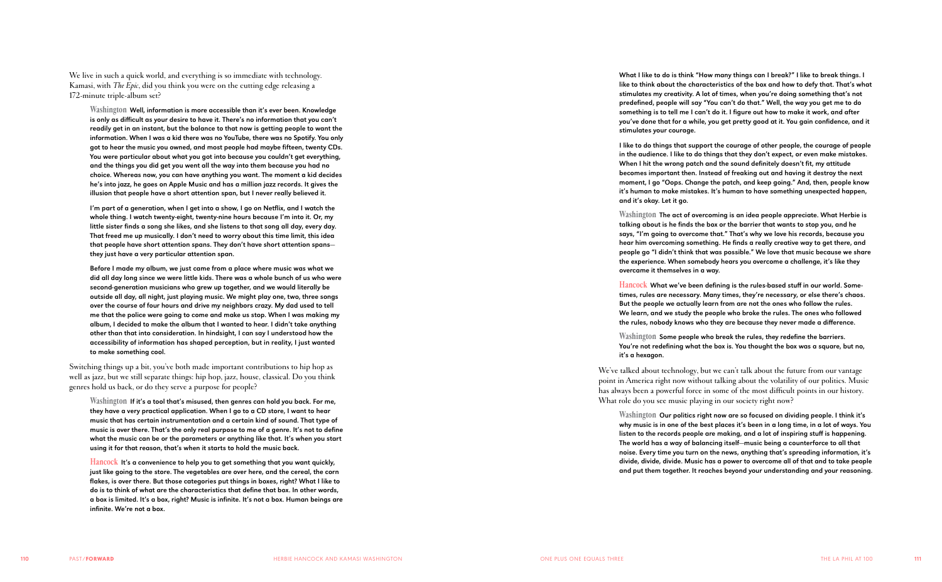We live in such a quick world, and everything is so immediate with technology. Kamasi, with *The Epic*, did you think you were on the cutting edge releasing a 172-minute triple-album set?

**Washington** Well, information is more accessible than it's ever been. Knowledge is only as difficult as your desire to have it. There's no information that you can't readily get in an instant, but the balance to that now is getting people to want the information. When I was a kid there was no YouTube, there was no Spotify. You only got to hear the music you owned, and most people had maybe fifteen, twenty CDs. You were particular about what you got into because you couldn't get everything, and the things you did get you went all the way into them because you had no choice. Whereas now, you can have anything you want. The moment a kid decides he's into jazz, he goes on Apple Music and has a million jazz records. It gives the illusion that people have a short attention span, but I never really believed it.

I'm part of a generation, when I get into a show, I go on Netflix, and I watch the whole thing. I watch twenty-eight, twenty-nine hours because I'm into it. Or, my little sister finds a song she likes, and she listens to that song all day, every day. That freed me up musically. I don't need to worry about this time limit, this idea that people have short attention spans. They don't have short attention spans they just have a very particular attention span.

**Hancock** It's a convenience to help you to get something that you want quickly, just like going to the store. The vegetables are over here, and the cereal, the corn flakes, is over there. But those categories put things in boxes, right? What I like to do is to think of what are the characteristics that define that box. In other words, a box is limited. It's a box, right? Music is infinite. It's not a box. Human beings are infinite. We're not a box.

Before I made my album, we just came from a place where music was what we did all day long since we were little kids. There was a whole bunch of us who were second-generation musicians who grew up together, and we would literally be outside all day, all night, just playing music. We might play one, two, three songs over the course of four hours and drive my neighbors crazy. My dad used to tell me that the police were going to come and make us stop. When I was making my album, I decided to make the album that I wanted to hear. I didn't take anything other than that into consideration. In hindsight, I can say I understood how the accessibility of information has shaped perception, but in reality, I just wanted to make something cool.

Switching things up a bit, you've both made important contributions to hip hop as well as jazz, but we still separate things: hip hop, jazz, house, classical. Do you think genres hold us back, or do they serve a purpose for people?

**Washington** If it's a tool that's misused, then genres can hold you back. For me, they have a very practical application. When I go to a CD store, I want to hear music that has certain instrumentation and a certain kind of sound. That type of music is over there. That's the only real purpose to me of a genre. It's not to define what the music can be or the parameters or anything like that. It's when you start using it for that reason, that's when it starts to hold the music back.

We've talked about technology, but we can't talk about the future from our vantage point in America right now without talking about the volatility of our politics. Music has always been a powerful force in some of the most difficult points in our history. What role do you see music playing in our society right now?

What I like to do is think "How many things can I break?" I like to break things. I like to think about the characteristics of the box and how to defy that. That's what stimulates my creativity. A lot of times, when you're doing something that's not predefined, people will say "You can't do that." Well, the way you get me to do something is to tell me I can't do it. I figure out how to make it work, and after you've done that for a while, you get pretty good at it. You gain confidence, and it stimulates your courage.

I like to do things that support the courage of other people, the courage of people in the audience. I like to do things that they don't expect, or even make mistakes. When I hit the wrong patch and the sound definitely doesn't fit, my attitude becomes important then. Instead of freaking out and having it destroy the next moment, I go "Oops. Change the patch, and keep going." And, then, people know it's human to make mistakes. It's human to have something unexpected happen, and it's okay. Let it go.

**Washington** The act of overcoming is an idea people appreciate. What Herbie is talking about is he finds the box or the barrier that wants to stop you, and he says, "I'm going to overcome that." That's why we love his records, because you hear him overcoming something. He finds a really creative way to get there, and people go "I didn't think that was possible." We love that music because we share the experience. When somebody hears you overcome a challenge, it's like they overcame it themselves in a way.

**Hancock** What we've been defining is the rules-based stuff in our world. Some times, rules are necessary. Many times, they're necessary, or else there's chaos. But the people we actually learn from are not the ones who follow the rules. We learn, and we study the people who broke the rules. The ones who followed the rules, nobody knows who they are because they never made a difference.

**Washington** Some people who break the rules, they redefine the barriers. You're not redefining what the box is. You thought the box was a square, but no,

it's a hexagon.

**Washington** Our politics right now are so focused on dividing people. I think it's why music is in one of the best places it's been in a long time, in a lot of ways. You listen to the records people are making, and a lot of inspiring stuff is happening. The world has a way of balancing itself—music being a counterforce to all that noise. Every time you turn on the news, anything that's spreading information, it's divide, divide, divide. Music has a power to overcome all of that and to take people and put them together. It reaches beyond your understanding and your reasoning.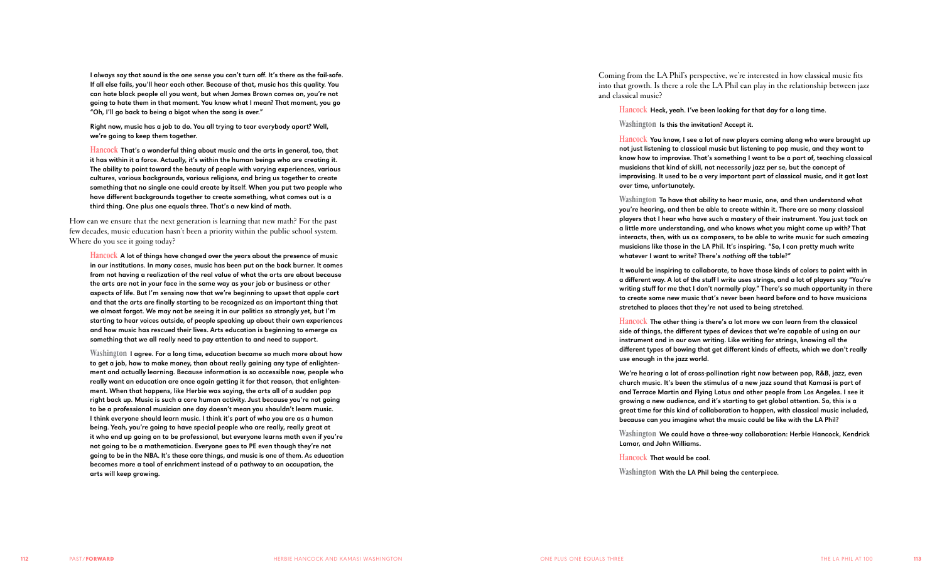I always say that sound is the one sense you can't turn off. It's there as the fail-safe. If all else fails, you'll hear each other. Because of that, music has this quality. You can hate black people all you want, but when James Brown comes on, you're not going to hate them in that moment. You know what I mean? That moment, you go "Oh, I'll go back to being a bigot when the song is over."

Right now, music has a job to do. You all trying to tear everybody apart? Well, we're going to keep them together.

**Hancock** That's a wonderful thing about music and the arts in general, too, that it has within it a force. Actually, it's within the human beings who are creating it. The ability to point toward the beauty of people with varying experiences, various cultures, various backgrounds, various religions, and bring us together to create something that no single one could create by itself. When you put two people who have different backgrounds together to create something, what comes out is a third thing. One plus one equals three. That's a new kind of math.

How can we ensure that the next generation is learning that new math? For the past few decades, music education hasn't been a priority within the public school system. Where do you see it going today?

**Hancock** A lot of things have changed over the years about the presence of music in our institutions. In many cases, music has been put on the back burner. It comes from not having a realization of the real value of what the arts are about because the arts are not in your face in the same way as your job or business or other aspects of life. But I'm sensing now that we're beginning to upset that apple cart and that the arts are finally starting to be recognized as an important thing that we almost forgot. We may not be seeing it in our politics so strongly yet, but I'm starting to hear voices outside, of people speaking up about their own experiences and how music has rescued their lives. Arts education is beginning to emerge as something that we all really need to pay attention to and need to support.

**Washington** I agree. For a long time, education became so much more about how to get a job, how to make money, than about really gaining any type of enlighten ment and actually learning. Because information is so accessible now, people who really want an education are once again getting it for that reason, that enlighten ment. When that happens, like Herbie was saying, the arts all of a sudden pop right back up. Music is such a core human activity. Just because you're not going to be a professional musician one day doesn't mean you shouldn't learn music. I think everyone should learn music. I think it's part of who you are as a human being. Yeah, you're going to have special people who are really, really great at it who end up going on to be professional, but everyone learns math even if you're not going to be a mathematician. Everyone goes to PE even though they're not going to be in the NBA. It's these core things, and music is one of them. As education becomes more a tool of enrichment instead of a pathway to an occupation, the arts will keep growing.

Coming from the LA Phil's perspective, we're interested in how classical music fits into that growth. Is there a role the LA Phil can play in the relationship between jazz and classical music?

**Hancock** Heck, yeah. I've been looking for that day for a long time.

## **Washington** Is this the invitation? Accept it.

**Hancock** You know, I see a lot of new players coming along who were brought up not just listening to classical music but listening to pop music, and they want to know how to improvise. That's something I want to be a part of, teaching classical musicians that kind of skill, not necessarily jazz per se, but the concept of improvising. It used to be a very important part of classical music, and it got lost over time, unfortunately.

**Washington** To have that ability to hear music, one, and then understand what you're hearing, and then be able to create within it. There are so many classical players that I hear who have such a mastery of their instrument. You just tack on a little more understanding, and who knows what you might come up with? That interacts, then, with us as composers, to be able to write music for such amazing musicians like those in the LA Phil. It's inspiring. "So, I can pretty much write whatever I want to write? There's *nothing* off the table?"

It would be inspiring to collaborate, to have those kinds of colors to paint with in a different way. A lot of the stuff I write uses strings, and a lot of players say "You're writing stuff for me that I don't normally play." There's so much opportunity in there to create some new music that's never been heard before and to have musicians stretched to places that they're not used to being stretched.

**Hancock** The other thing is there's a lot more we can learn from the classical side of things, the different types of devices that we're capable of using on our instrument and in our own writing. Like writing for strings, knowing all the different types of bowing that get different kinds of effects, which we don't really use enough in the jazz world.

We're hearing a lot of cross-pollination right now between pop, R&B, jazz, even church music. It's been the stimulus of a new jazz sound that Kamasi is part of and Terrace Martin and Flying Lotus and other people from Los Angeles. I see it growing a new audience, and it's starting to get global attention. So, this is a great time for this kind of collaboration to happen, with classical music included, because can you imagine what the music could be like with the LA Phil?

**Washington** We could have a three-way collaboration: Herbie Hancock, Kendrick Lamar, and John Williams.

**Hancock** That would be cool.

**Washington** With the LA Phil being the centerpiece.